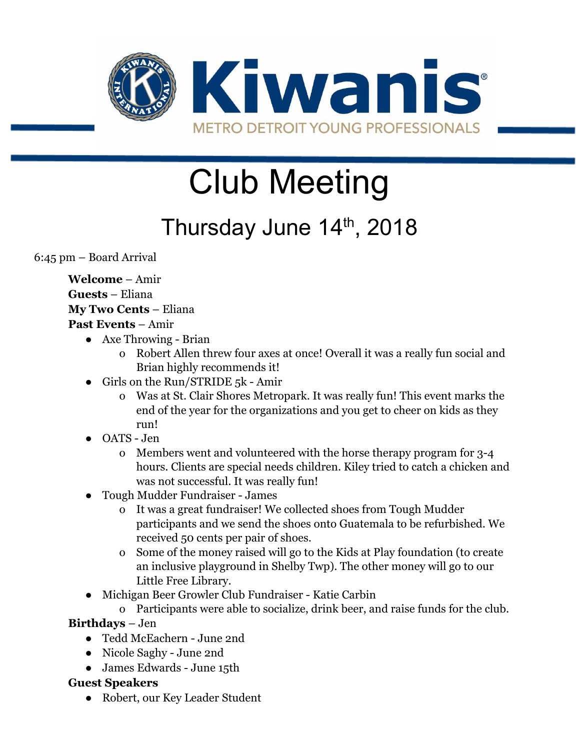

# Club Meeting

# Thursday June 14<sup>th</sup>, 2018

6:45 pm – Board Arrival

**Welcome** – Amir **Guests** – Eliana **My Two Cents** – Eliana **Past Events** – Amir

- Axe Throwing Brian
	- o Robert Allen threw four axes at once! Overall it was a really fun social and Brian highly recommends it!
- Girls on the Run/STRIDE 5k Amir
	- o Was at St. Clair Shores Metropark. It was really fun! This event marks the end of the year for the organizations and you get to cheer on kids as they run!
- OATS Jen
	- o Members went and volunteered with the horse therapy program for 3-4 hours. Clients are special needs children. Kiley tried to catch a chicken and was not successful. It was really fun!
- Tough Mudder Fundraiser James
	- o It was a great fundraiser! We collected shoes from Tough Mudder participants and we send the shoes onto Guatemala to be refurbished. We received 50 cents per pair of shoes.
	- o Some of the money raised will go to the Kids at Play foundation (to create an inclusive playground in Shelby Twp). The other money will go to our Little Free Library.
- Michigan Beer Growler Club Fundraiser Katie Carbin
	- o Participants were able to socialize, drink beer, and raise funds for the club.

#### **Birthdays** – Jen

- Tedd McEachern June 2nd
- Nicole Saghy June 2nd
- James Edwards June 15th

#### **Guest Speakers**

● Robert, our Key Leader Student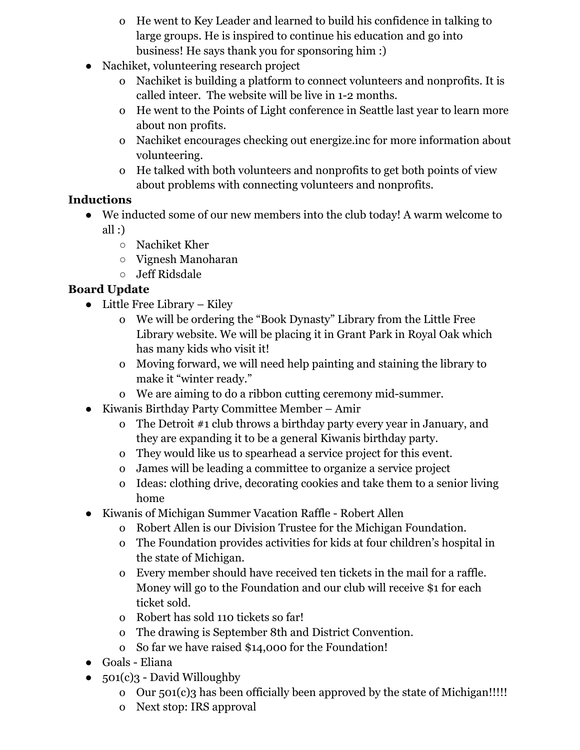- o He went to Key Leader and learned to build his confidence in talking to large groups. He is inspired to continue his education and go into business! He says thank you for sponsoring him :)
- Nachiket, volunteering research project
	- o Nachiket is building a platform to connect volunteers and nonprofits. It is called inteer. The website will be live in 1-2 months.
	- o He went to the Points of Light conference in Seattle last year to learn more about non profits.
	- o Nachiket encourages checking out energize.inc for more information about volunteering.
	- o He talked with both volunteers and nonprofits to get both points of view about problems with connecting volunteers and nonprofits.

#### **Inductions**

- We inducted some of our new members into the club today! A warm welcome to
	- all  $:$ )
		- Nachiket Kher
		- Vignesh Manoharan
		- Jeff Ridsdale

#### **Board Update**

- Little Free Library Kiley
	- o We will be ordering the "Book Dynasty" Library from the Little Free Library website. We will be placing it in Grant Park in Royal Oak which has many kids who visit it!
	- o Moving forward, we will need help painting and staining the library to make it "winter ready."
	- o We are aiming to do a ribbon cutting ceremony mid-summer.
- Kiwanis Birthday Party Committee Member Amir
	- o The Detroit #1 club throws a birthday party every year in January, and they are expanding it to be a general Kiwanis birthday party.
	- o They would like us to spearhead a service project for this event.
	- o James will be leading a committee to organize a service project
	- o Ideas: clothing drive, decorating cookies and take them to a senior living home
- Kiwanis of Michigan Summer Vacation Raffle Robert Allen
	- o Robert Allen is our Division Trustee for the Michigan Foundation.
	- o The Foundation provides activities for kids at four children's hospital in the state of Michigan.
	- o Every member should have received ten tickets in the mail for a raffle. Money will go to the Foundation and our club will receive \$1 for each ticket sold.
	- o Robert has sold 110 tickets so far!
	- o The drawing is September 8th and District Convention.
	- o So far we have raised \$14,000 for the Foundation!
- Goals Eliana
- $501(c)3$  David Willoughby
	- o Our 501(c)3 has been officially been approved by the state of Michigan!!!!!
	- o Next stop: IRS approval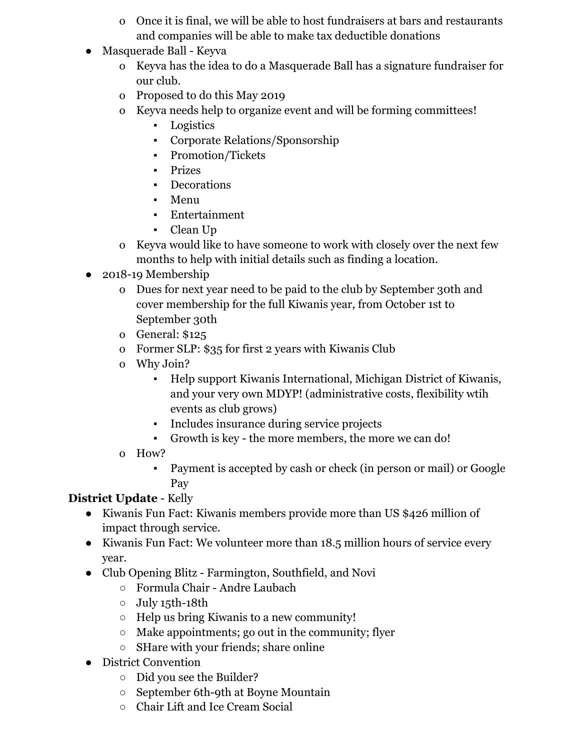- o Once it is final, we will be able to host fundraisers at bars and restaurants and companies will be able to make tax deductible donations
- Masquerade Ball Keyva
	- o Keyva has the idea to do a Masquerade Ball has a signature fundraiser for our club.
	- o Proposed to do this May 2019
	- o Keyva needs help to organize event and will be forming committees!
		- Logistics
		- Corporate Relations/Sponsorship
		- Promotion/Tickets
		- Prizes
		- Decorations
		- Menu
		- Entertainment
		- Clean Up
	- o Keyva would like to have someone to work with closely over the next few months to help with initial details such as finding a location.
- 2018-19 Membership
	- o Dues for next year need to be paid to the club by September 30th and cover membership for the full Kiwanis year, from October 1st to September 30th
	- o General: \$125
	- o Former SLP: \$35 for first 2 years with Kiwanis Club
	- o Why Join?
		- Help support Kiwanis International, Michigan District of Kiwanis, and your very own MDYP! (administrative costs, flexibility wtih events as club grows)
		- Includes insurance during service projects
		- Growth is key the more members, the more we can do!
	- o How?
		- Payment is accepted by cash or check (in person or mail) or Google Pay

## **District Update** - Kelly

- Kiwanis Fun Fact: Kiwanis members provide more than US \$426 million of impact through service.
- Kiwanis Fun Fact: We volunteer more than 18.5 million hours of service every year.
- Club Opening Blitz Farmington, Southfield, and Novi
	- Formula Chair Andre Laubach
	- July 15th-18th
	- Help us bring Kiwanis to a new community!
	- $\circ$  Make appointments; go out in the community; flyer
	- SHare with your friends; share online
- District Convention
	- Did you see the Builder?
	- September 6th-9th at Boyne Mountain
	- Chair Lift and Ice Cream Social